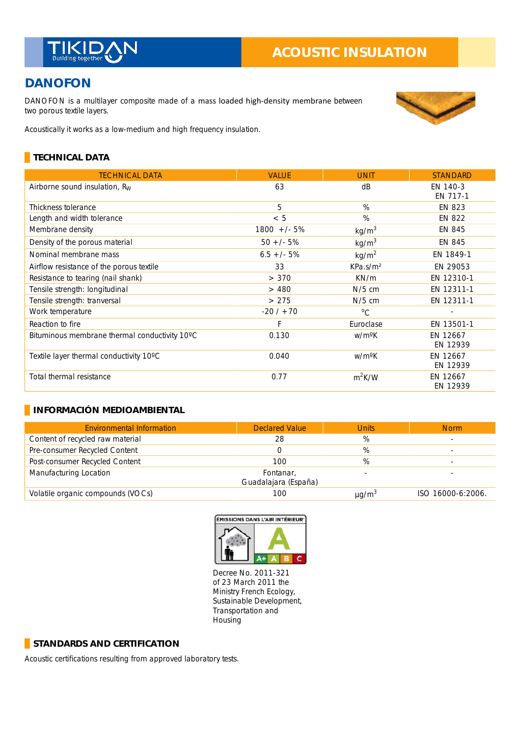

# **DANOFON**

DANOFON is a multilayer composite made of a mass loaded high-density membrane between two porous textile layers.



Acoustically it works as a low-medium and high frequency insulation.

## **TECHNICAL DATA**

| <b>TECHNICAL DATA</b>                         | <b>VALUE</b>  | <b>UNIT</b>          | <b>STANDARD</b>      |
|-----------------------------------------------|---------------|----------------------|----------------------|
| Airborne sound insulation, $R_W$              | 63            | dB                   | EN 140-3<br>EN 717-1 |
| Thickness tolerance                           | 5             | %                    | <b>EN 823</b>        |
| Length and width tolerance                    | < 5           | %                    | <b>EN 822</b>        |
| Membrane density                              | $1800 +/- 5%$ | kg/m <sup>3</sup>    | EN 845               |
| Density of the porous material                | $50 +/- 5%$   | kg/m <sup>3</sup>    | EN 845               |
| Nominal membrane mass                         | $6.5 +/- 5%$  | kg/m <sup>2</sup>    | EN 1849-1            |
| Airflow resistance of the porous textile      | 33            | KPa.s/m <sup>2</sup> | EN 29053             |
| Resistance to tearing (nail shank)            | > 370         | KN/m                 | EN 12310-1           |
| Tensile strength: longitudinal                | >480          | $N/5$ cm             | EN 12311-1           |
| Tensile strength: tranversal                  | >275          | $N/5$ cm             | EN 12311-1           |
| Work temperature                              | $-20/ + 70$   | $^{\circ}$ C         |                      |
| Reaction to fire                              | F             | Euroclase            | EN 13501-1           |
| Bituminous membrane thermal conductivity 10°C | 0.130         | w/m <sup>o</sup> K   | EN 12667<br>EN 12939 |
| Textile layer thermal conductivity 10°C       | 0.040         | w/m <sup>o</sup> K   | EN 12667<br>EN 12939 |
| Total thermal resistance                      | 0.77          | $m^2K/W$             | EN 12667<br>EN 12939 |

#### **INFORMACIÓN MEDIOAMBIENTAL**

| <b>Environmental Information</b>  | <b>Declared Value</b>             | <b>Units</b>           | <b>Norm</b>       |
|-----------------------------------|-----------------------------------|------------------------|-------------------|
| Content of recycled raw material  | 28                                | %                      |                   |
| Pre-consumer Recycled Content     |                                   | %                      |                   |
| Post-consumer Recycled Content    | 100                               | %                      |                   |
| Manufacturing Location            | Fontanar,<br>Guadalajara (España) |                        |                   |
| Volatile organic compounds (VOCs) | 100                               | $\mu$ g/m <sup>3</sup> | ISO 16000-6:2006. |



Decree No. 2011-321 of 23 March 2011 the Ministry French Ecology, Sustainable Development, Transportation and Housing

#### **STANDARDS AND CERTIFICATION**

Acoustic certifications resulting from approved laboratory tests.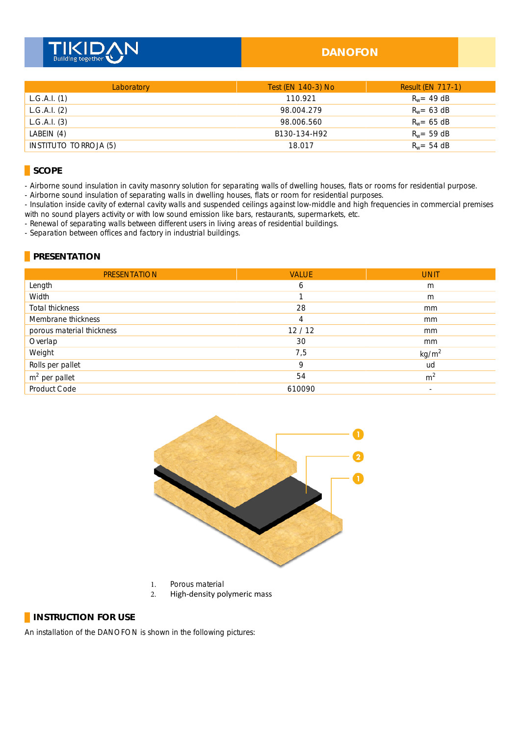

#### **DANOFON**

| Laboratory                   | Test (EN 140-3) No | <b>Result (EN 717-1)</b> |
|------------------------------|--------------------|--------------------------|
| L.G.A.I. (1)                 | 110.921            | $R_w = 49$ dB            |
| L.G.A.I. (2)                 | 98.004.279         | $R_w = 63$ dB            |
| L.G.A.I. (3)                 | 98.006.560         | $R_w = 65$ dB            |
| LABEIN $(4)$                 | B130-134-H92       | $R_w = 59$ dB            |
| <b>INSTITUTO TORROJA (5)</b> | 18.017             | $R_w = 54$ dB            |

#### **SCOPE**

- Airborne sound insulation in cavity masonry solution for separating walls of dwelling houses, flats or rooms for residential purpose.

- Airborne sound insulation of separating walls in dwelling houses, flats or room for residential purposes.

- Insulation inside cavity of external cavity walls and suspended ceilings against low-middle and high frequencies in commercial premises with no sound players activity or with low sound emission like bars, restaurants, supermarkets, etc.

- Renewal of separating walls between different users in living areas of residential buildings.

- Separation between offices and factory in industrial buildings.

#### **PRESENTATION**

| <b>PRESENTATION</b>       | <b>VALUE</b> | <b>UNIT</b>       |
|---------------------------|--------------|-------------------|
| Length                    | 6            | m                 |
| Width                     |              | m                 |
| Total thickness           | 28           | mm                |
| Membrane thickness        | 4            | mm                |
| porous material thickness | 12/12        | mm                |
| Overlap                   | 30           | mm                |
| Weight                    | 7,5          | kg/m <sup>2</sup> |
| Rolls per pallet          | 9            | ud                |
| $m2$ per pallet           | 54           | m <sup>2</sup>    |
| Product Code              | 610090       | ٠                 |



- 1. Porous material
- 2. High-density polymeric mass

#### **INSTRUCTION FOR USE**

An installation of the DANOFON is shown in the following pictures: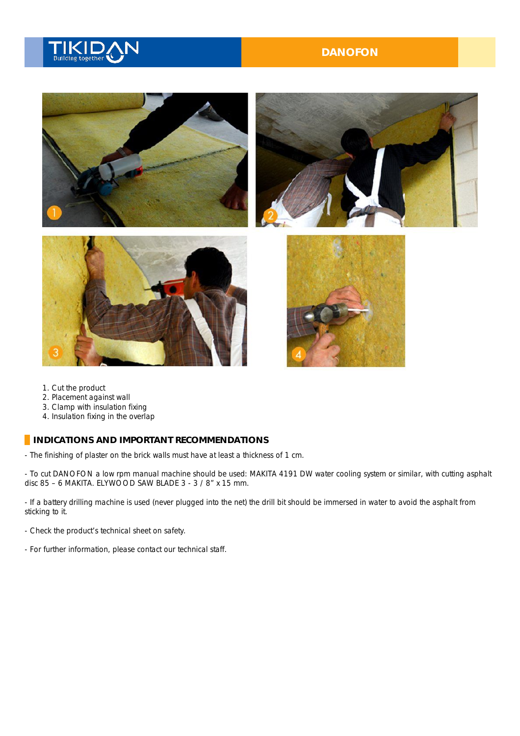# **Building together**

### **DANOFON**



- 1. Cut the product
- 2. Placement against wall \_
- 3. Clamp with insulation fixing \_
- 4. Insulation fixing in the overlap

#### **INDICATIONS AND IMPORTANT RECOMMENDATIONS**

- The finishing of plaster on the brick walls must have at least a thickness of 1 cm.

- To cut DANOFON a low rpm manual machine should be used: MAKITA 4191 DW water cooling system or similar, with cutting asphalt disc 85 – 6 MAKITA. ELYWOOD SAW BLADE 3 - 3 / 8" x 15 mm.

- If a battery drilling machine is used (never plugged into the net) the drill bit should be immersed in water to avoid the asphalt from sticking to it.

- Check the product's technical sheet on safety.
- For further information, please contact our technical staff. \_